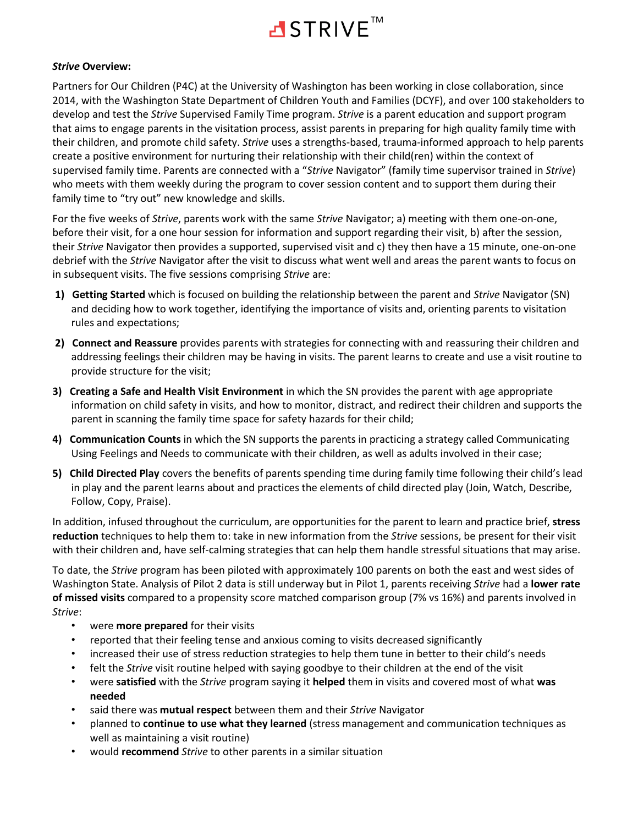

#### *Strive* **Overview:**

Partners for Our Children (P4C) at the University of Washington has been working in close collaboration, since 2014, with the Washington State Department of Children Youth and Families (DCYF), and over 100 stakeholders to develop and test the *Strive* Supervised Family Time program. *Strive* is a parent education and support program that aims to engage parents in the visitation process, assist parents in preparing for high quality family time with their children, and promote child safety. *Strive* uses a strengths-based, trauma-informed approach to help parents create a positive environment for nurturing their relationship with their child(ren) within the context of supervised family time. Parents are connected with a "*Strive* Navigator" (family time supervisor trained in *Strive*) who meets with them weekly during the program to cover session content and to support them during their family time to "try out" new knowledge and skills.

For the five weeks of *Strive*, parents work with the same *Strive* Navigator; a) meeting with them one-on-one, before their visit, for a one hour session for information and support regarding their visit, b) after the session, their *Strive* Navigator then provides a supported, supervised visit and c) they then have a 15 minute, one-on-one debrief with the *Strive* Navigator after the visit to discuss what went well and areas the parent wants to focus on in subsequent visits. The five sessions comprising *Strive* are:

- **1) Getting Started** which is focused on building the relationship between the parent and *Strive* Navigator (SN) and deciding how to work together, identifying the importance of visits and, orienting parents to visitation rules and expectations;
- **2) Connect and Reassure** provides parents with strategies for connecting with and reassuring their children and addressing feelings their children may be having in visits. The parent learns to create and use a visit routine to provide structure for the visit;
- **3) Creating a Safe and Health Visit Environment** in which the SN provides the parent with age appropriate information on child safety in visits, and how to monitor, distract, and redirect their children and supports the parent in scanning the family time space for safety hazards for their child;
- **4) Communication Counts** in which the SN supports the parents in practicing a strategy called Communicating Using Feelings and Needs to communicate with their children, as well as adults involved in their case;
- **5) Child Directed Play** covers the benefits of parents spending time during family time following their child's lead in play and the parent learns about and practices the elements of child directed play (Join, Watch, Describe, Follow, Copy, Praise).

In addition, infused throughout the curriculum, are opportunities for the parent to learn and practice brief, **stress reduction** techniques to help them to: take in new information from the *Strive* sessions, be present for their visit with their children and, have self-calming strategies that can help them handle stressful situations that may arise.

To date, the *Strive* program has been piloted with approximately 100 parents on both the east and west sides of Washington State. Analysis of Pilot 2 data is still underway but in Pilot 1, parents receiving *Strive* had a **lower rate of missed visits** compared to a propensity score matched comparison group (7% vs 16%) and parents involved in *Strive*:

- were **more prepared** for their visits
- reported that their feeling tense and anxious coming to visits decreased significantly
- increased their use of stress reduction strategies to help them tune in better to their child's needs
- felt the *Strive* visit routine helped with saying goodbye to their children at the end of the visit
- were **satisfied** with the *Strive* program saying it **helped** them in visits and covered most of what **was needed**
- said there was **mutual respect** between them and their *Strive* Navigator
- planned to **continue to use what they learned** (stress management and communication techniques as well as maintaining a visit routine)
- would **recommend** *Strive* to other parents in a similar situation